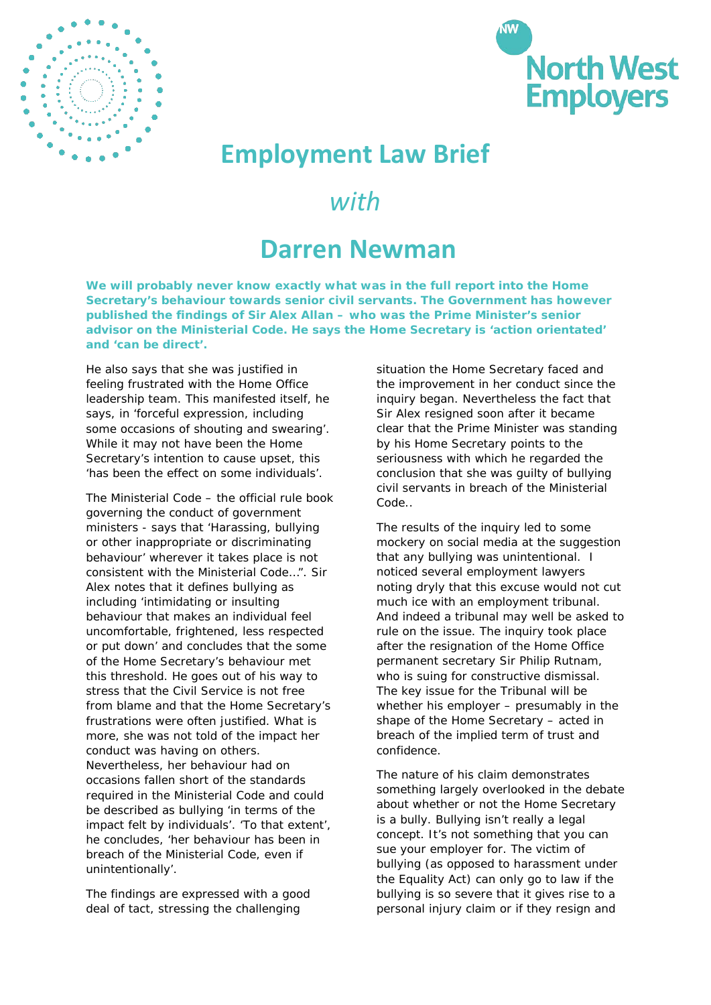



## **Employment Law Brief**

## *with*

## **Darren Newman**

**We will probably never know exactly what was in the full report into the Home Secretary's behaviour towards senior civil servants. The Government has however published the findings of Sir Alex Allan – who was the Prime Minister's senior advisor on the Ministerial Code. He says the Home Secretary is 'action orientated' and 'can be direct'.**

He also says that she was justified in feeling frustrated with the Home Office leadership team. This manifested itself, he says, in 'forceful expression, including some occasions of shouting and swearing'. While it may not have been the Home Secretary's intention to cause upset, this 'has been the effect on some individuals'.

The Ministerial Code – the official rule book governing the conduct of government ministers - says that 'Harassing, bullying or other inappropriate or discriminating behaviour' wherever it takes place is not consistent with the Ministerial Code…". Sir Alex notes that it defines bullying as including 'intimidating or insulting behaviour that makes an individual feel uncomfortable, frightened, less respected or put down' and concludes that the some of the Home Secretary's behaviour met this threshold. He goes out of his way to stress that the Civil Service is not free from blame and that the Home Secretary's frustrations were often justified. What is more, she was not told of the impact her conduct was having on others. Nevertheless, her behaviour had on occasions fallen short of the standards required in the Ministerial Code and could be described as bullying 'in terms of the impact felt by individuals'. 'To that extent', he concludes, 'her behaviour has been in breach of the Ministerial Code, even if unintentionally'.

The findings are expressed with a good deal of tact, stressing the challenging

situation the Home Secretary faced and the improvement in her conduct since the inquiry began. Nevertheless the fact that Sir Alex resigned soon after it became clear that the Prime Minister was standing by his Home Secretary points to the seriousness with which he regarded the conclusion that she was guilty of bullying civil servants in breach of the Ministerial Code..

The results of the inquiry led to some mockery on social media at the suggestion that any bullying was unintentional. I noticed several employment lawyers noting dryly that this excuse would not cut much ice with an employment tribunal. And indeed a tribunal may well be asked to rule on the issue. The inquiry took place after the resignation of the Home Office permanent secretary Sir Philip Rutnam, who is suing for constructive dismissal. The key issue for the Tribunal will be whether his employer – presumably in the shape of the Home Secretary – acted in breach of the implied term of trust and confidence.

The nature of his claim demonstrates something largely overlooked in the debate about whether or not the Home Secretary is a bully. Bullying isn't really a legal concept. It's not something that you can sue your employer for. The victim of bullying (as opposed to harassment under the Equality Act) can only go to law if the bullying is so severe that it gives rise to a personal injury claim or if they resign and